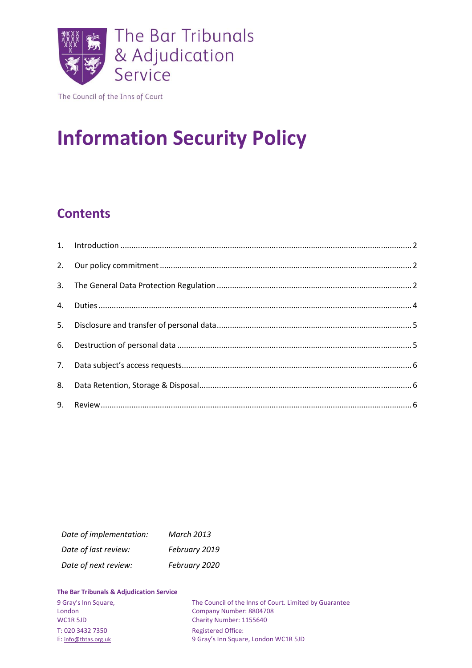

The Council of the Inns of Court

# **Information Security Policy**

# **Contents**

| Date of implementation: | <b>March 2013</b> |
|-------------------------|-------------------|
| Date of last review:    | February 2019     |
| Date of next review:    | February 2020     |

#### **The Bar Tribunals & Adjudication Service**

| 9 Gray's Inn Square, | The Council of the Inns of Court. Limited by Guarantee |
|----------------------|--------------------------------------------------------|
| London               | Company Number: 8804708                                |
| WC1R 5JD             | Charity Number: 1155640                                |
| T: 020 3432 7350     | <b>Registered Office:</b>                              |
| E: info@tbtas.org.uk | 9 Gray's Inn Square, London WC1R 5JD                   |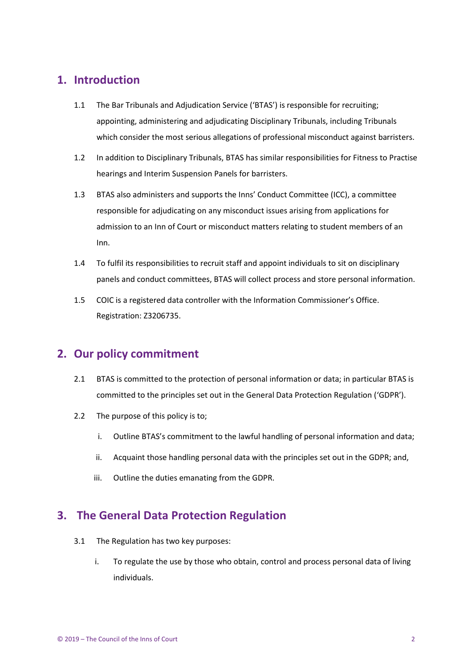# <span id="page-1-0"></span>**1. Introduction**

- 1.1 The Bar Tribunals and Adjudication Service ('BTAS') is responsible for recruiting; appointing, administering and adjudicating Disciplinary Tribunals, including Tribunals which consider the most serious allegations of professional misconduct against barristers.
- 1.2 In addition to Disciplinary Tribunals, BTAS has similar responsibilities for Fitness to Practise hearings and Interim Suspension Panels for barristers.
- 1.3 BTAS also administers and supports the Inns' Conduct Committee (ICC), a committee responsible for adjudicating on any misconduct issues arising from applications for admission to an Inn of Court or misconduct matters relating to student members of an Inn.
- 1.4 To fulfil its responsibilities to recruit staff and appoint individuals to sit on disciplinary panels and conduct committees, BTAS will collect process and store personal information.
- 1.5 COIC is a registered data controller with the Information Commissioner's Office. Registration: Z3206735.

# <span id="page-1-1"></span>**2. Our policy commitment**

- 2.1 BTAS is committed to the protection of personal information or data; in particular BTAS is committed to the principles set out in the General Data Protection Regulation ('GDPR').
- 2.2 The purpose of this policy is to;
	- i. Outline BTAS's commitment to the lawful handling of personal information and data;
	- ii. Acquaint those handling personal data with the principles set out in the GDPR; and,
	- iii. Outline the duties emanating from the GDPR.

# <span id="page-1-2"></span>**3. The General Data Protection Regulation**

- 3.1 The Regulation has two key purposes:
	- i. To regulate the use by those who obtain, control and process personal data of living individuals.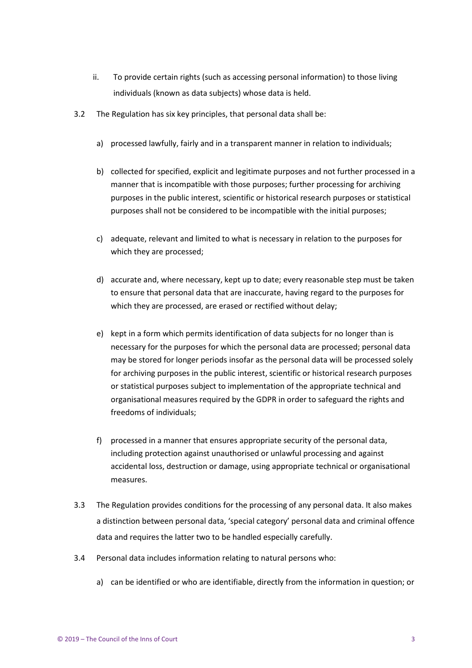- ii. To provide certain rights (such as accessing personal information) to those living individuals (known as data subjects) whose data is held.
- 3.2 The Regulation has six key principles, that personal data shall be:
	- a) processed lawfully, fairly and in a transparent manner in relation to individuals;
	- b) collected for specified, explicit and legitimate purposes and not further processed in a manner that is incompatible with those purposes; further processing for archiving purposes in the public interest, scientific or historical research purposes or statistical purposes shall not be considered to be incompatible with the initial purposes;
	- c) adequate, relevant and limited to what is necessary in relation to the purposes for which they are processed;
	- d) accurate and, where necessary, kept up to date; every reasonable step must be taken to ensure that personal data that are inaccurate, having regard to the purposes for which they are processed, are erased or rectified without delay;
	- e) kept in a form which permits identification of data subjects for no longer than is necessary for the purposes for which the personal data are processed; personal data may be stored for longer periods insofar as the personal data will be processed solely for archiving purposes in the public interest, scientific or historical research purposes or statistical purposes subject to implementation of the appropriate technical and organisational measures required by the GDPR in order to safeguard the rights and freedoms of individuals;
	- f) processed in a manner that ensures appropriate security of the personal data, including protection against unauthorised or unlawful processing and against accidental loss, destruction or damage, using appropriate technical or organisational measures.
- 3.3 The Regulation provides conditions for the processing of any personal data. It also makes a distinction between personal data, 'special category' personal data and criminal offence data and requires the latter two to be handled especially carefully.
- 3.4 Personal data includes information relating to natural persons who:
	- a) can be identified or who are identifiable, directly from the information in question; or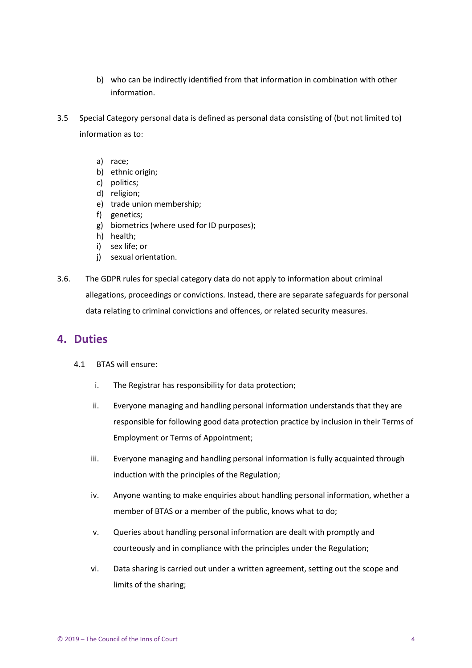- b) who can be indirectly identified from that information in combination with other information.
- 3.5 Special Category personal data is defined as personal data consisting of (but not limited to) information as to:
	- a) race;
	- b) ethnic origin;
	- c) politics;
	- d) religion;
	- e) trade union membership;
	- f) genetics;
	- g) biometrics (where used for ID purposes);
	- h) health;
	- i) sex life; or
	- j) sexual orientation.
- 3.6. The GDPR rules for special category data do not apply to information about criminal allegations, proceedings or convictions. Instead, there are separate safeguards for personal data relating to criminal convictions and offences, or related security measures.

#### <span id="page-3-0"></span>**4. Duties**

- 4.1 BTAS will ensure:
	- i. The Registrar has responsibility for data protection;
	- ii. Everyone managing and handling personal information understands that they are responsible for following good data protection practice by inclusion in their Terms of Employment or Terms of Appointment;
	- iii. Everyone managing and handling personal information is fully acquainted through induction with the principles of the Regulation;
	- iv. Anyone wanting to make enquiries about handling personal information, whether a member of BTAS or a member of the public, knows what to do;
	- v. Queries about handling personal information are dealt with promptly and courteously and in compliance with the principles under the Regulation;
	- vi. Data sharing is carried out under a written agreement, setting out the scope and limits of the sharing;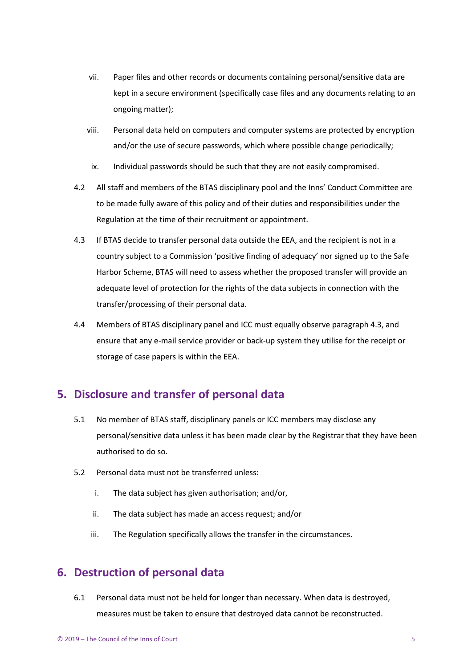- vii. Paper files and other records or documents containing personal/sensitive data are kept in a secure environment (specifically case files and any documents relating to an ongoing matter);
- viii. Personal data held on computers and computer systems are protected by encryption and/or the use of secure passwords, which where possible change periodically;
- ix. Individual passwords should be such that they are not easily compromised.
- 4.2 All staff and members of the BTAS disciplinary pool and the Inns' Conduct Committee are to be made fully aware of this policy and of their duties and responsibilities under the Regulation at the time of their recruitment or appointment.
- 4.3 If BTAS decide to transfer personal data outside the EEA, and the recipient is not in a country subject to a Commission 'positive finding of adequacy' nor signed up to the Safe Harbor Scheme, BTAS will need to assess whether the proposed transfer will provide an adequate level of protection for the rights of the data subjects in connection with the transfer/processing of their personal data.
- 4.4 Members of BTAS disciplinary panel and ICC must equally observe paragraph 4.3, and ensure that any e-mail service provider or back-up system they utilise for the receipt or storage of case papers is within the EEA.

### <span id="page-4-0"></span>**5. Disclosure and transfer of personal data**

- 5.1 No member of BTAS staff, disciplinary panels or ICC members may disclose any personal/sensitive data unless it has been made clear by the Registrar that they have been authorised to do so.
- 5.2 Personal data must not be transferred unless:
	- i. The data subject has given authorisation; and/or,
	- ii. The data subject has made an access request; and/or
	- iii. The Regulation specifically allows the transfer in the circumstances.

### <span id="page-4-1"></span>**6. Destruction of personal data**

6.1 Personal data must not be held for longer than necessary. When data is destroyed, measures must be taken to ensure that destroyed data cannot be reconstructed.